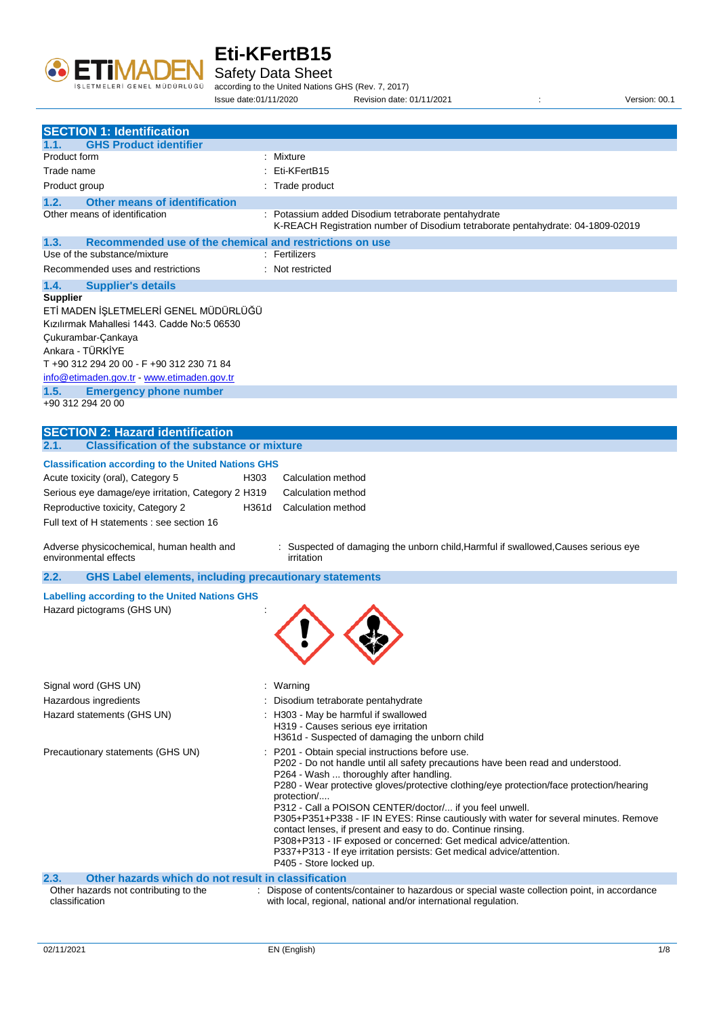

Safety Data Sheet

according to the United Nations GHS (Rev. 7, 2017)

Issue date:01/11/2020 Revision date: 01/11/2021 : Version: 00.1

| <b>SECTION 1: Identification</b><br><b>GHS Product identifier</b><br>1.1.                                                                                                                                                                                                            |                                                                                                                                                                                                                                                                                                                                                                                                                                                                                                                                                                                                                                                                                         |
|--------------------------------------------------------------------------------------------------------------------------------------------------------------------------------------------------------------------------------------------------------------------------------------|-----------------------------------------------------------------------------------------------------------------------------------------------------------------------------------------------------------------------------------------------------------------------------------------------------------------------------------------------------------------------------------------------------------------------------------------------------------------------------------------------------------------------------------------------------------------------------------------------------------------------------------------------------------------------------------------|
| Product form                                                                                                                                                                                                                                                                         | : Mixture                                                                                                                                                                                                                                                                                                                                                                                                                                                                                                                                                                                                                                                                               |
| Trade name                                                                                                                                                                                                                                                                           | : Eti-KFertB15                                                                                                                                                                                                                                                                                                                                                                                                                                                                                                                                                                                                                                                                          |
| Product group                                                                                                                                                                                                                                                                        | : Trade product                                                                                                                                                                                                                                                                                                                                                                                                                                                                                                                                                                                                                                                                         |
|                                                                                                                                                                                                                                                                                      |                                                                                                                                                                                                                                                                                                                                                                                                                                                                                                                                                                                                                                                                                         |
| 1.2.<br><b>Other means of identification</b><br>Other means of identification                                                                                                                                                                                                        | : Potassium added Disodium tetraborate pentahydrate                                                                                                                                                                                                                                                                                                                                                                                                                                                                                                                                                                                                                                     |
|                                                                                                                                                                                                                                                                                      | K-REACH Registration number of Disodium tetraborate pentahydrate: 04-1809-02019                                                                                                                                                                                                                                                                                                                                                                                                                                                                                                                                                                                                         |
| Recommended use of the chemical and restrictions on use<br>1.3.                                                                                                                                                                                                                      |                                                                                                                                                                                                                                                                                                                                                                                                                                                                                                                                                                                                                                                                                         |
| Use of the substance/mixture                                                                                                                                                                                                                                                         | : Fertilizers                                                                                                                                                                                                                                                                                                                                                                                                                                                                                                                                                                                                                                                                           |
| Recommended uses and restrictions                                                                                                                                                                                                                                                    | : Not restricted                                                                                                                                                                                                                                                                                                                                                                                                                                                                                                                                                                                                                                                                        |
| 1.4.<br><b>Supplier's details</b><br><b>Supplier</b><br>ETİ MADEN İŞLETMELERİ GENEL MÜDÜRLÜĞÜ<br>Kızılırmak Mahallesi 1443. Cadde No:5 06530                                                                                                                                         |                                                                                                                                                                                                                                                                                                                                                                                                                                                                                                                                                                                                                                                                                         |
| Cukurambar-Cankaya<br>Ankara - TÜRKİYE                                                                                                                                                                                                                                               |                                                                                                                                                                                                                                                                                                                                                                                                                                                                                                                                                                                                                                                                                         |
| T +90 312 294 20 00 - F +90 312 230 71 84<br>info@etimaden.gov.tr www.etimaden.gov.tr                                                                                                                                                                                                |                                                                                                                                                                                                                                                                                                                                                                                                                                                                                                                                                                                                                                                                                         |
| 1.5.<br><b>Emergency phone number</b><br>+90 312 294 20 00                                                                                                                                                                                                                           |                                                                                                                                                                                                                                                                                                                                                                                                                                                                                                                                                                                                                                                                                         |
| <b>SECTION 2: Hazard identification</b>                                                                                                                                                                                                                                              |                                                                                                                                                                                                                                                                                                                                                                                                                                                                                                                                                                                                                                                                                         |
| <b>Classification of the substance or mixture</b><br>2.1.                                                                                                                                                                                                                            |                                                                                                                                                                                                                                                                                                                                                                                                                                                                                                                                                                                                                                                                                         |
| <b>Classification according to the United Nations GHS</b><br>Acute toxicity (oral), Category 5<br>Serious eye damage/eye irritation, Category 2 H319<br>Reproductive toxicity, Category 2<br>Full text of H statements : see section 16<br>Adverse physicochemical, human health and | H303<br>Calculation method<br>Calculation method<br>H361d<br>Calculation method<br>Suspected of damaging the unborn child, Harmful if swallowed, Causes serious eye                                                                                                                                                                                                                                                                                                                                                                                                                                                                                                                     |
| environmental effects                                                                                                                                                                                                                                                                | irritation                                                                                                                                                                                                                                                                                                                                                                                                                                                                                                                                                                                                                                                                              |
| <b>GHS Label elements, including precautionary statements</b><br>2.2.                                                                                                                                                                                                                |                                                                                                                                                                                                                                                                                                                                                                                                                                                                                                                                                                                                                                                                                         |
| <b>Labelling according to the United Nations GHS</b><br>Hazard pictograms (GHS UN)                                                                                                                                                                                                   |                                                                                                                                                                                                                                                                                                                                                                                                                                                                                                                                                                                                                                                                                         |
| Signal word (GHS UN)                                                                                                                                                                                                                                                                 | : Warning                                                                                                                                                                                                                                                                                                                                                                                                                                                                                                                                                                                                                                                                               |
| Hazardous ingredients                                                                                                                                                                                                                                                                | Disodium tetraborate pentahydrate                                                                                                                                                                                                                                                                                                                                                                                                                                                                                                                                                                                                                                                       |
| Hazard statements (GHS UN)                                                                                                                                                                                                                                                           | : H303 - May be harmful if swallowed<br>H319 - Causes serious eye irritation<br>H361d - Suspected of damaging the unborn child                                                                                                                                                                                                                                                                                                                                                                                                                                                                                                                                                          |
| Precautionary statements (GHS UN)                                                                                                                                                                                                                                                    | : P201 - Obtain special instructions before use.<br>P202 - Do not handle until all safety precautions have been read and understood.<br>P264 - Wash  thoroughly after handling.<br>P280 - Wear protective gloves/protective clothing/eye protection/face protection/hearing<br>protection/<br>P312 - Call a POISON CENTER/doctor/ if you feel unwell.<br>P305+P351+P338 - IF IN EYES: Rinse cautiously with water for several minutes. Remove<br>contact lenses, if present and easy to do. Continue rinsing.<br>P308+P313 - IF exposed or concerned: Get medical advice/attention.<br>P337+P313 - If eye irritation persists: Get medical advice/attention.<br>P405 - Store locked up. |
| Other hazards which do not result in classification<br>2.3.                                                                                                                                                                                                                          |                                                                                                                                                                                                                                                                                                                                                                                                                                                                                                                                                                                                                                                                                         |
| Other hazards not contributing to the<br>classification                                                                                                                                                                                                                              | : Dispose of contents/container to hazardous or special waste collection point, in accordance<br>with local, regional, national and/or international regulation.                                                                                                                                                                                                                                                                                                                                                                                                                                                                                                                        |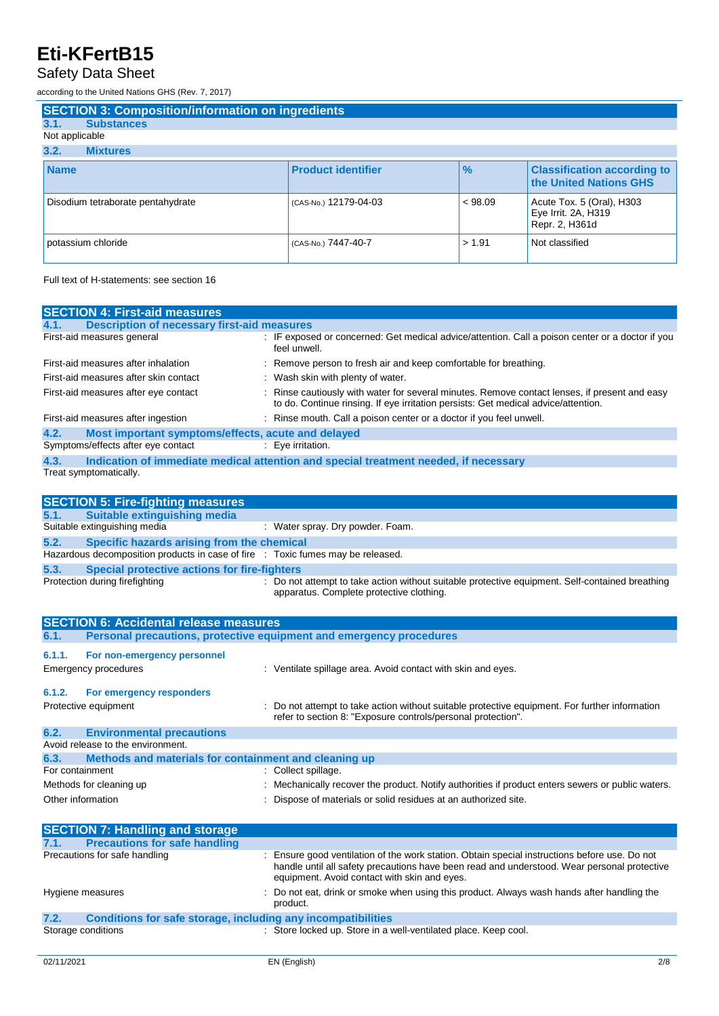Safety Data Sheet

according to the United Nations GHS (Rev. 7, 2017)

| <b>SECTION 3: Composition/information on ingredients</b> |                           |         |                                                                    |
|----------------------------------------------------------|---------------------------|---------|--------------------------------------------------------------------|
| <b>Substances</b><br>3.1.                                |                           |         |                                                                    |
| Not applicable                                           |                           |         |                                                                    |
| 3.2.<br><b>Mixtures</b>                                  |                           |         |                                                                    |
| <b>Name</b>                                              | <b>Product identifier</b> | $\%$    | <b>Classification according to</b><br>the United Nations GHS       |
| Disodium tetraborate pentahydrate                        | (CAS-No.) 12179-04-03     | < 98.09 | Acute Tox. 5 (Oral), H303<br>Eye Irrit. 2A, H319<br>Repr. 2, H361d |
| potassium chloride                                       | (CAS-No.) 7447-40-7       | > 1.91  | Not classified                                                     |

Full text of H-statements: see section 16

| <b>SECTION 4: First-aid measures</b>                                            |                                                                                                                                                                |
|---------------------------------------------------------------------------------|----------------------------------------------------------------------------------------------------------------------------------------------------------------|
| <b>Description of necessary first-aid measures</b><br>4.1.                      |                                                                                                                                                                |
| First-aid measures general                                                      | : IF exposed or concerned: Get medical advice/attention. Call a poison center or a doctor if you<br>feel unwell.                                               |
| First-aid measures after inhalation                                             | : Remove person to fresh air and keep comfortable for breathing.                                                                                               |
| First-aid measures after skin contact                                           | : Wash skin with plenty of water.                                                                                                                              |
| First-aid measures after eye contact                                            | : Rinse cautiously with water for several minutes. Remove contact lenses, if present and easy                                                                  |
|                                                                                 | to do. Continue rinsing. If eye irritation persists: Get medical advice/attention.                                                                             |
| First-aid measures after ingestion                                              | : Rinse mouth. Call a poison center or a doctor if you feel unwell.                                                                                            |
| 4.2.<br>Most important symptoms/effects, acute and delayed                      |                                                                                                                                                                |
| Symptoms/effects after eye contact                                              | : Eye irritation.                                                                                                                                              |
| 4.3.                                                                            | Indication of immediate medical attention and special treatment needed, if necessary                                                                           |
| Treat symptomatically.                                                          |                                                                                                                                                                |
| <b>SECTION 5: Fire-fighting measures</b>                                        |                                                                                                                                                                |
| <b>Suitable extinguishing media</b><br>5.1.                                     |                                                                                                                                                                |
| Suitable extinguishing media                                                    | : Water spray. Dry powder. Foam.                                                                                                                               |
| 5.2.<br>Specific hazards arising from the chemical                              |                                                                                                                                                                |
| Hazardous decomposition products in case of fire : Toxic fumes may be released. |                                                                                                                                                                |
| 5.3.<br><b>Special protective actions for fire-fighters</b>                     |                                                                                                                                                                |
| Protection during firefighting                                                  | : Do not attempt to take action without suitable protective equipment. Self-contained breathing<br>apparatus. Complete protective clothing.                    |
| <b>SECTION 6: Accidental release measures</b>                                   |                                                                                                                                                                |
|                                                                                 |                                                                                                                                                                |
| 6.1.                                                                            |                                                                                                                                                                |
|                                                                                 | Personal precautions, protective equipment and emergency procedures                                                                                            |
| 6.1.1.<br>For non-emergency personnel                                           |                                                                                                                                                                |
| <b>Emergency procedures</b>                                                     | : Ventilate spillage area. Avoid contact with skin and eyes.                                                                                                   |
| 6.1.2.<br>For emergency responders                                              |                                                                                                                                                                |
| Protective equipment                                                            | : Do not attempt to take action without suitable protective equipment. For further information<br>refer to section 8: "Exposure controls/personal protection". |
| 6.2.<br><b>Environmental precautions</b>                                        |                                                                                                                                                                |
| Avoid release to the environment.                                               |                                                                                                                                                                |
| Methods and materials for containment and cleaning up<br>6.3.                   |                                                                                                                                                                |
| For containment                                                                 | : Collect spillage.                                                                                                                                            |
| Methods for cleaning up                                                         | : Mechanically recover the product. Notify authorities if product enters sewers or public waters.                                                              |
| Other information                                                               | Dispose of materials or solid residues at an authorized site.                                                                                                  |
|                                                                                 |                                                                                                                                                                |
| <b>SECTION 7: Handling and storage</b><br>7.1.                                  |                                                                                                                                                                |
| <b>Precautions for safe handling</b><br>Precautions for safe handling           | : Ensure good ventilation of the work station. Obtain special instructions before use. Do not                                                                  |
|                                                                                 | handle until all safety precautions have been read and understood. Wear personal protective                                                                    |
|                                                                                 | equipment. Avoid contact with skin and eyes.                                                                                                                   |
| Hygiene measures                                                                | : Do not eat, drink or smoke when using this product. Always wash hands after handling the<br>product.                                                         |

**<sup>7.2.</sup> Conditions for safe storage, including any incompatibilities** Storage conditions **in a state of the Conduct Conduct Conduct** : Store locked up. Store in a well-ventilated place. Keep cool.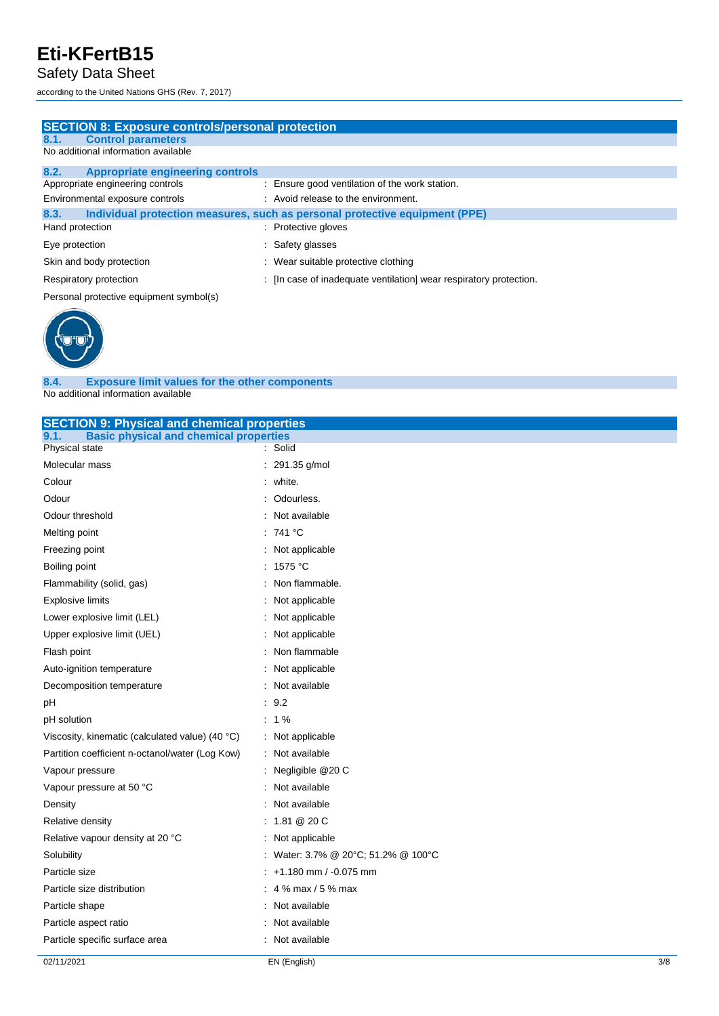Safety Data Sheet

according to the United Nations GHS (Rev. 7, 2017)

| <b>SECTION 8: Exposure controls/personal protection</b> |                                                                             |
|---------------------------------------------------------|-----------------------------------------------------------------------------|
| <b>Control parameters</b><br>8.1.                       |                                                                             |
| No additional information available                     |                                                                             |
| 8.2.<br><b>Appropriate engineering controls</b>         |                                                                             |
| Appropriate engineering controls                        | : Ensure good ventilation of the work station.                              |
| Environmental exposure controls                         | : Avoid release to the environment.                                         |
| 8.3.                                                    | Individual protection measures, such as personal protective equipment (PPE) |
| Hand protection                                         | : Protective gloves                                                         |
| Eye protection                                          | Safety glasses                                                              |
| Skin and body protection                                | : Wear suitable protective clothing                                         |
| Respiratory protection                                  | : [In case of inadequate ventilation] wear respiratory protection.          |
|                                                         |                                                                             |

Personal protective equipment symbol(s)



**8.4. Exposure limit values for the other components** No additional information available

| <b>SECTION 9: Physical and chemical properties</b>    |                                   |
|-------------------------------------------------------|-----------------------------------|
| <b>Basic physical and chemical properties</b><br>9.1. |                                   |
| <b>Physical state</b>                                 | Solid                             |
| Molecular mass                                        | 291.35 g/mol                      |
| Colour                                                | white.                            |
| Odour                                                 | Odourless.                        |
| Odour threshold                                       | Not available                     |
| Melting point                                         | : 741 $^{\circ}$ C                |
| Freezing point                                        | Not applicable                    |
| Boiling point                                         | 1575 °C                           |
| Flammability (solid, gas)                             | Non flammable.                    |
| <b>Explosive limits</b>                               | Not applicable                    |
| Lower explosive limit (LEL)                           | Not applicable                    |
| Upper explosive limit (UEL)                           | Not applicable                    |
| Flash point                                           | Non flammable                     |
| Auto-ignition temperature                             | Not applicable                    |
| Decomposition temperature                             | Not available                     |
| pH                                                    | 9.2                               |
| pH solution                                           | $: 1\%$                           |
| Viscosity, kinematic (calculated value) (40 °C)       | Not applicable                    |
| Partition coefficient n-octanol/water (Log Kow)       | Not available                     |
| Vapour pressure                                       | Negligible @20 C                  |
| Vapour pressure at 50 °C                              | Not available                     |
| Density                                               | Not available                     |
| Relative density                                      | 1.81 @ 20 C                       |
| Relative vapour density at 20 °C                      | Not applicable                    |
| Solubility                                            | Water: 3.7% @ 20°C; 51.2% @ 100°C |
| Particle size                                         | $+1.180$ mm / -0.075 mm           |
| Particle size distribution                            | 4 % max / 5 % max                 |
| Particle shape                                        | Not available                     |
| Particle aspect ratio                                 | Not available                     |
| Particle specific surface area                        | Not available                     |
|                                                       |                                   |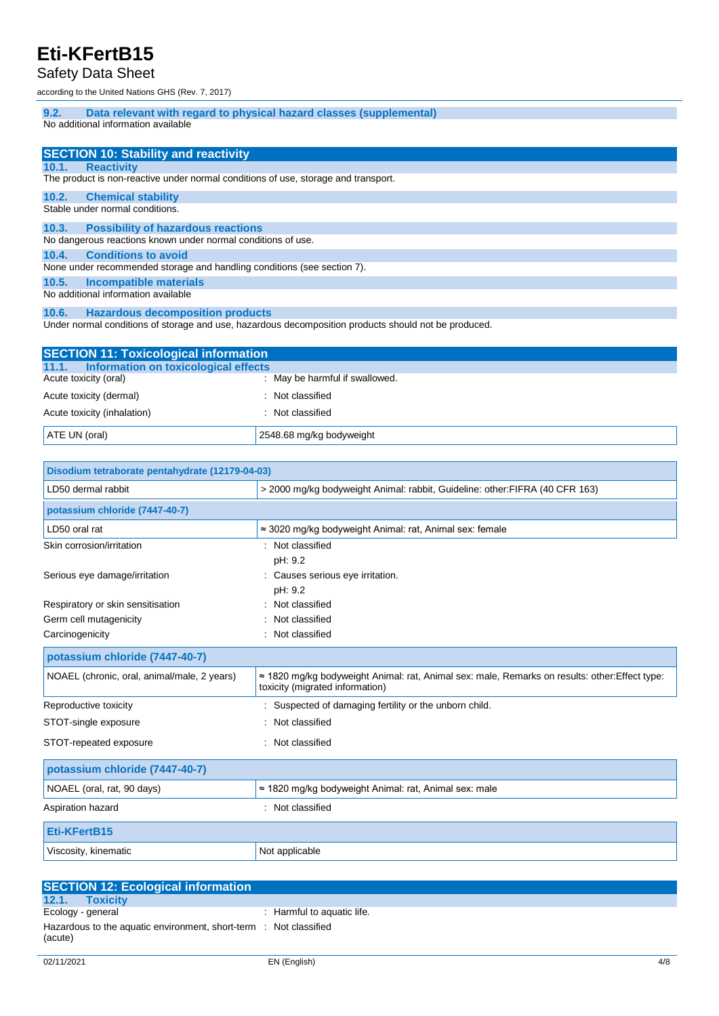### Safety Data Sheet

according to the United Nations GHS (Rev. 7, 2017)

| Data relevant with regard to physical hazard classes (supplemental)<br>9.2. |
|-----------------------------------------------------------------------------|
|-----------------------------------------------------------------------------|

No additional information available

|       | <b>SECTION 10: Stability and reactivity</b>                                        |
|-------|------------------------------------------------------------------------------------|
| 10.1. | <b>Reactivity</b>                                                                  |
|       | The product is non-reactive under normal conditions of use, storage and transport. |
| 10.2. | <b>Chemical stability</b>                                                          |
|       | Stable under normal conditions.                                                    |
| 10.3. | <b>Possibility of hazardous reactions</b>                                          |
|       | No dangerous reactions known under normal conditions of use.                       |
| 10.4. | <b>Conditions to avoid</b>                                                         |
|       | None under recommended storage and handling conditions (see section 7).            |
| 10.5. | Incompatible materials                                                             |
|       | No additional information available                                                |

#### **10.6. Hazardous decomposition products**

Under normal conditions of storage and use, hazardous decomposition products should not be produced.

| <b>SECTION 11: Toxicological information</b>  |                                |  |
|-----------------------------------------------|--------------------------------|--|
| Information on toxicological effects<br>11.1. |                                |  |
| Acute toxicity (oral)                         | : May be harmful if swallowed. |  |
| Acute toxicity (dermal)                       | : Not classified               |  |
| Acute toxicity (inhalation)                   | : Not classified               |  |
| ATE UN (oral)                                 | 2548.68 mg/kg bodyweight       |  |

| Disodium tetraborate pentahydrate (12179-04-03) |                                                                                                                                           |
|-------------------------------------------------|-------------------------------------------------------------------------------------------------------------------------------------------|
| LD50 dermal rabbit                              | > 2000 mg/kg bodyweight Animal: rabbit, Guideline: other: FIFRA (40 CFR 163)                                                              |
| potassium chloride (7447-40-7)                  |                                                                                                                                           |
| LD50 oral rat                                   | ≈ 3020 mg/kg bodyweight Animal: rat, Animal sex: female                                                                                   |
| Skin corrosion/irritation                       | Not classified                                                                                                                            |
|                                                 | pH: 9.2                                                                                                                                   |
| Serious eye damage/irritation                   | Causes serious eye irritation.                                                                                                            |
|                                                 | pH: 9.2                                                                                                                                   |
| Respiratory or skin sensitisation               | Not classified                                                                                                                            |
| Germ cell mutagenicity                          | Not classified                                                                                                                            |
| Carcinogenicity                                 | Not classified                                                                                                                            |
| potassium chloride (7447-40-7)                  |                                                                                                                                           |
| NOAEL (chronic, oral, animal/male, 2 years)     | $\approx$ 1820 mg/kg bodyweight Animal: rat, Animal sex: male, Remarks on results: other: Effect type:<br>toxicity (migrated information) |
| Reproductive toxicity                           | Suspected of damaging fertility or the unborn child.                                                                                      |
| STOT-single exposure                            | Not classified                                                                                                                            |
| STOT-repeated exposure                          | Not classified                                                                                                                            |
| potassium chloride (7447-40-7)                  |                                                                                                                                           |
| NOAEL (oral, rat, 90 days)                      | ≈ 1820 mg/kg bodyweight Animal: rat, Animal sex: male                                                                                     |
| Aspiration hazard                               | : Not classified                                                                                                                          |
| Eti-KFertB15                                    |                                                                                                                                           |
| Viscosity, kinematic                            | Not applicable                                                                                                                            |

| <b>SECTION 12: Ecological information</b>                                    |                            |
|------------------------------------------------------------------------------|----------------------------|
| 12.1. Toxicity                                                               |                            |
| Ecology - general                                                            | : Harmful to aquatic life. |
| Hazardous to the aquatic environment, short-term : Not classified<br>(acute) |                            |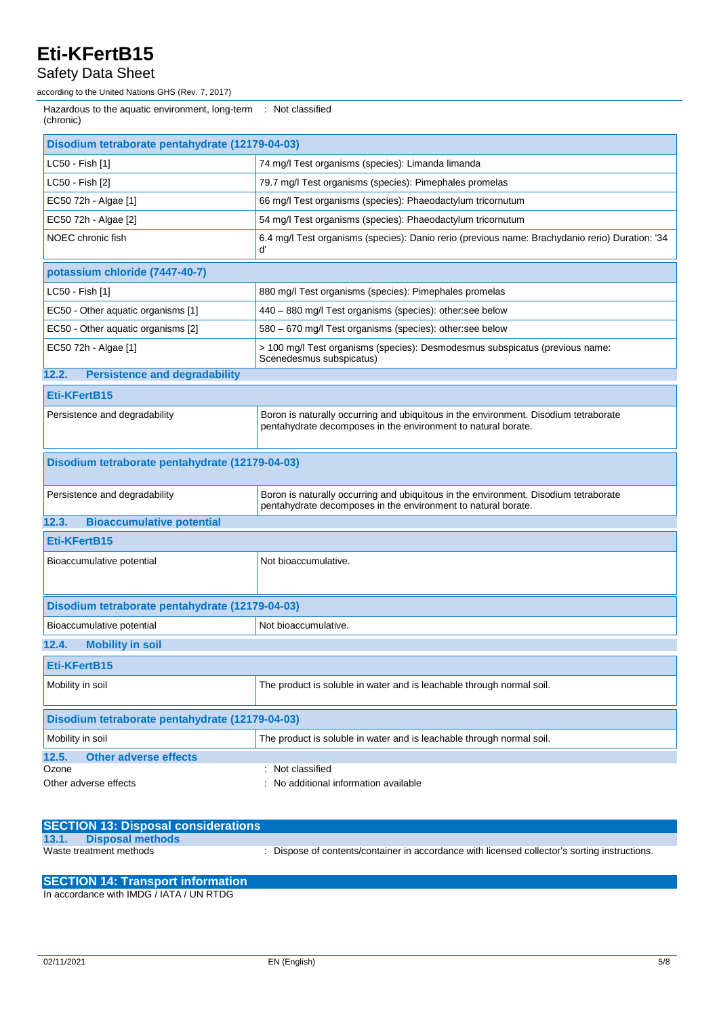### Safety Data Sheet

according to the United Nations GHS (Rev. 7, 2017)

| Hazardous to the aquatic environment, long-term : Not classified<br>(chronic) |                                                                                                                                                       |  |
|-------------------------------------------------------------------------------|-------------------------------------------------------------------------------------------------------------------------------------------------------|--|
| Disodium tetraborate pentahydrate (12179-04-03)                               |                                                                                                                                                       |  |
| LC50 - Fish [1]                                                               | 74 mg/l Test organisms (species): Limanda limanda                                                                                                     |  |
| LC50 - Fish [2]                                                               | 79.7 mg/l Test organisms (species): Pimephales promelas                                                                                               |  |
| EC50 72h - Algae [1]                                                          | 66 mg/l Test organisms (species): Phaeodactylum tricornutum                                                                                           |  |
| EC50 72h - Algae [2]                                                          | 54 mg/l Test organisms (species): Phaeodactylum tricornutum                                                                                           |  |
| NOEC chronic fish                                                             | 6.4 mg/l Test organisms (species): Danio rerio (previous name: Brachydanio rerio) Duration: '34<br>ď                                                  |  |
| potassium chloride (7447-40-7)                                                |                                                                                                                                                       |  |
| LC50 - Fish [1]                                                               | 880 mg/l Test organisms (species): Pimephales promelas                                                                                                |  |
| EC50 - Other aquatic organisms [1]                                            | 440 - 880 mg/l Test organisms (species): other:see below                                                                                              |  |
| EC50 - Other aquatic organisms [2]                                            | 580 - 670 mg/l Test organisms (species): other:see below                                                                                              |  |
| EC50 72h - Algae [1]                                                          | > 100 mg/l Test organisms (species): Desmodesmus subspicatus (previous name:<br>Scenedesmus subspicatus)                                              |  |
| 12.2.<br><b>Persistence and degradability</b>                                 |                                                                                                                                                       |  |
| <b>Eti-KFertB15</b>                                                           |                                                                                                                                                       |  |
| Persistence and degradability                                                 | Boron is naturally occurring and ubiquitous in the environment. Disodium tetraborate<br>pentahydrate decomposes in the environment to natural borate. |  |
| Disodium tetraborate pentahydrate (12179-04-03)                               |                                                                                                                                                       |  |
| Persistence and degradability                                                 | Boron is naturally occurring and ubiquitous in the environment. Disodium tetraborate<br>pentahydrate decomposes in the environment to natural borate. |  |
| <b>Bioaccumulative potential</b><br>12.3.                                     |                                                                                                                                                       |  |
| <b>Eti-KFertB15</b>                                                           |                                                                                                                                                       |  |
| Bioaccumulative potential                                                     | Not bioaccumulative.                                                                                                                                  |  |
| Disodium tetraborate pentahydrate (12179-04-03)                               |                                                                                                                                                       |  |
| Bioaccumulative potential                                                     | Not bioaccumulative.                                                                                                                                  |  |
| 12.4.<br><b>Mobility in soil</b>                                              |                                                                                                                                                       |  |
| Eti-KFertB15                                                                  |                                                                                                                                                       |  |
| Mobility in soil                                                              | The product is soluble in water and is leachable through normal soil.                                                                                 |  |
| Disodium tetraborate pentahydrate (12179-04-03)                               |                                                                                                                                                       |  |
| Mobility in soil                                                              | The product is soluble in water and is leachable through normal soil.                                                                                 |  |
| <b>Other adverse effects</b><br>12.5.                                         |                                                                                                                                                       |  |
| Ozone<br>Other adverse effects                                                | Not classified<br>No additional information available                                                                                                 |  |
|                                                                               |                                                                                                                                                       |  |

| <b>SECTION 13: Disposal considerations</b> |                                                                                               |
|--------------------------------------------|-----------------------------------------------------------------------------------------------|
| 13.1.<br><b>Disposal methods</b>           |                                                                                               |
| Waste treatment methods                    | . Dispose of contents/container in accordance with licensed collector's sorting instructions. |

| <b>SECTION 14: Transport information</b> |
|------------------------------------------|
| In accordance with IMDG / IATA / UN RTDG |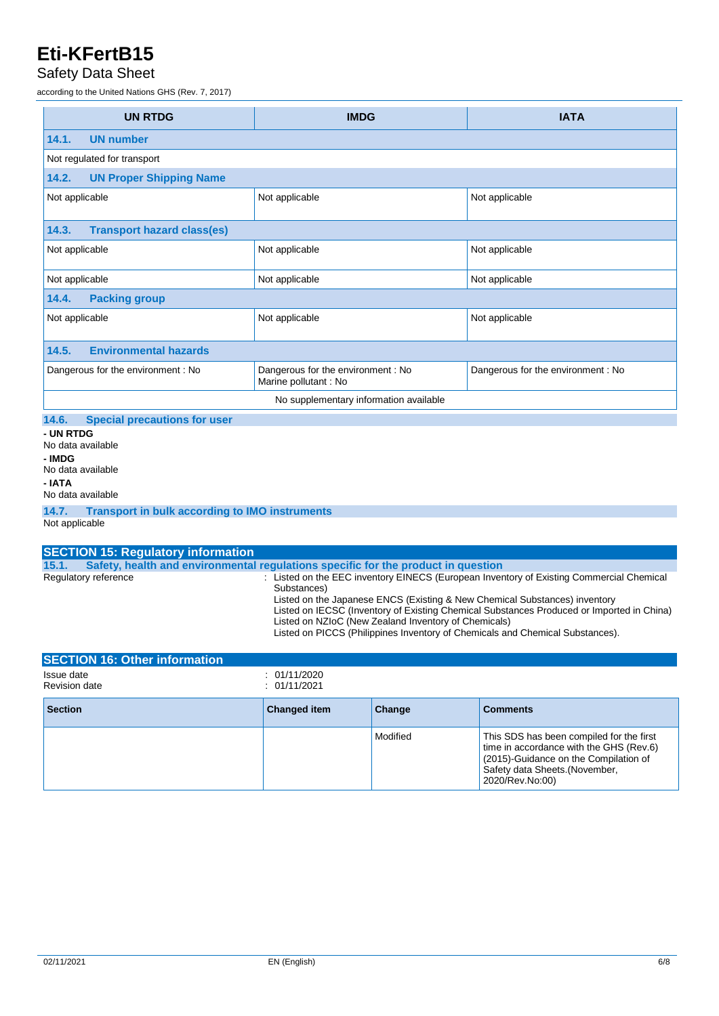### Safety Data Sheet

according to the United Nations GHS (Rev. 7, 2017)

| <b>UN RTDG</b>                                                                                                                                                                                                                                                                                              | <b>IMDG</b>                                                | <b>IATA</b>                       |  |  |
|-------------------------------------------------------------------------------------------------------------------------------------------------------------------------------------------------------------------------------------------------------------------------------------------------------------|------------------------------------------------------------|-----------------------------------|--|--|
| 14.1.<br><b>UN number</b>                                                                                                                                                                                                                                                                                   |                                                            |                                   |  |  |
| Not regulated for transport                                                                                                                                                                                                                                                                                 |                                                            |                                   |  |  |
| 14.2.<br><b>UN Proper Shipping Name</b>                                                                                                                                                                                                                                                                     |                                                            |                                   |  |  |
| Not applicable                                                                                                                                                                                                                                                                                              | Not applicable                                             | Not applicable                    |  |  |
| <b>Transport hazard class(es)</b><br>14.3.                                                                                                                                                                                                                                                                  |                                                            |                                   |  |  |
| Not applicable                                                                                                                                                                                                                                                                                              | Not applicable                                             | Not applicable                    |  |  |
| Not applicable                                                                                                                                                                                                                                                                                              | Not applicable                                             | Not applicable                    |  |  |
| 14.4.<br><b>Packing group</b>                                                                                                                                                                                                                                                                               |                                                            |                                   |  |  |
| Not applicable                                                                                                                                                                                                                                                                                              | Not applicable                                             | Not applicable                    |  |  |
| <b>Environmental hazards</b><br>14.5.                                                                                                                                                                                                                                                                       |                                                            |                                   |  |  |
| Dangerous for the environment: No                                                                                                                                                                                                                                                                           | Dangerous for the environment: No<br>Marine pollutant : No | Dangerous for the environment: No |  |  |
|                                                                                                                                                                                                                                                                                                             | No supplementary information available                     |                                   |  |  |
| 14.6.<br><b>Special precautions for user</b><br>- UN RTDG<br>No data available<br>- IMDG<br>No data available<br>- IATA<br>No data available                                                                                                                                                                |                                                            |                                   |  |  |
| 14.7.<br><b>Transport in bulk according to IMO instruments</b><br>Not applicable                                                                                                                                                                                                                            |                                                            |                                   |  |  |
| <b>SECTION 15: Regulatory information</b>                                                                                                                                                                                                                                                                   |                                                            |                                   |  |  |
| Safety, health and environmental regulations specific for the product in question<br>15.1.<br>Regulatory reference<br>: Listed on the EEC inventory EINECS (European Inventory of Existing Commercial Chemical<br>Substances)<br>Listed on the Japanese ENCS (Existing & New Chemical Substances) inventory |                                                            |                                   |  |  |

| Elotod on the capaneous Entrepreneuring or non-only chomical capataneous involvery        |  |
|-------------------------------------------------------------------------------------------|--|
| Listed on IECSC (Inventory of Existing Chemical Substances Produced or Imported in China) |  |
| Listed on NZIoC (New Zealand Inventory of Chemicals)                                      |  |

Listed on PICCS (Philippines Inventory of Chemicals and Chemical Substances).

| <b>SECTION 16: Other information</b> |                              |          |                                                                                                                                                                                   |
|--------------------------------------|------------------------------|----------|-----------------------------------------------------------------------------------------------------------------------------------------------------------------------------------|
| Issue date<br><b>Revision date</b>   | : 01/11/2020<br>: 01/11/2021 |          |                                                                                                                                                                                   |
| <b>Section</b>                       | <b>Changed item</b>          | Change   | <b>Comments</b>                                                                                                                                                                   |
|                                      |                              | Modified | This SDS has been compiled for the first<br>time in accordance with the GHS (Rev.6)<br>(2015)-Guidance on the Compilation of<br>Safety data Sheets. (November,<br>2020/Rev.No:00) |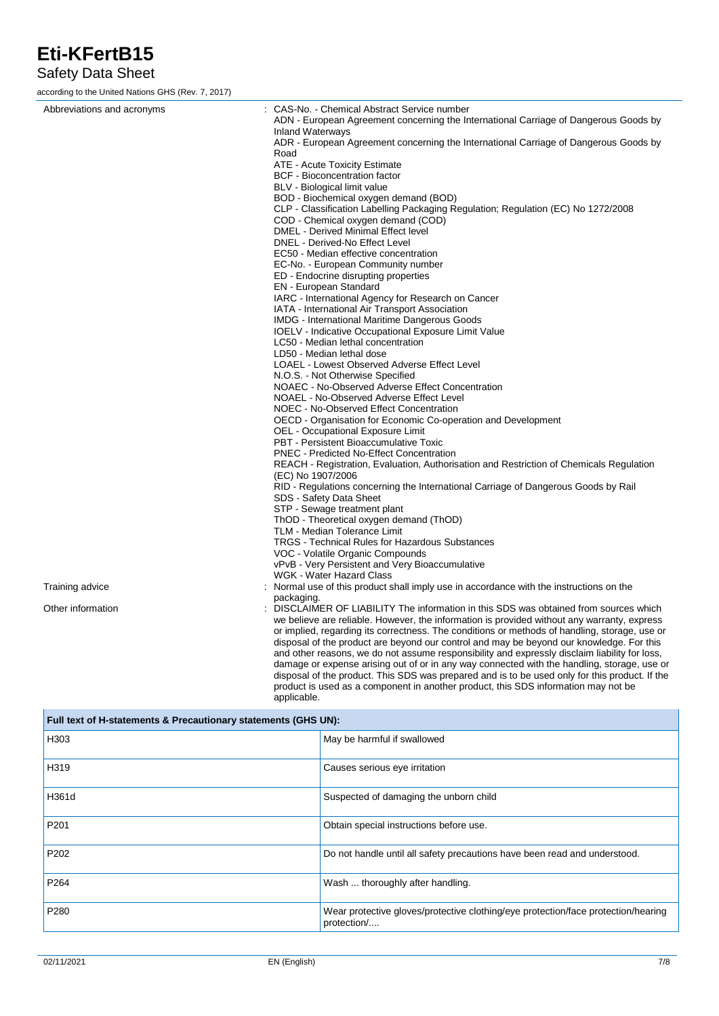### Safety Data Sheet

according to the United Nations GHS (Rev. 7, 2017)

| Abbreviations and acronyms | : CAS-No. - Chemical Abstract Service number                                                                                                                                                 |
|----------------------------|----------------------------------------------------------------------------------------------------------------------------------------------------------------------------------------------|
|                            | ADN - European Agreement concerning the International Carriage of Dangerous Goods by                                                                                                         |
|                            | <b>Inland Waterways</b>                                                                                                                                                                      |
|                            | ADR - European Agreement concerning the International Carriage of Dangerous Goods by                                                                                                         |
|                            | Road                                                                                                                                                                                         |
|                            | ATE - Acute Toxicity Estimate                                                                                                                                                                |
|                            | <b>BCF</b> - Bioconcentration factor                                                                                                                                                         |
|                            | BLV - Biological limit value                                                                                                                                                                 |
|                            | BOD - Biochemical oxygen demand (BOD)                                                                                                                                                        |
|                            | CLP - Classification Labelling Packaging Regulation; Regulation (EC) No 1272/2008                                                                                                            |
|                            | COD - Chemical oxygen demand (COD)                                                                                                                                                           |
|                            | DMEL - Derived Minimal Effect level<br>DNEL - Derived-No Effect Level                                                                                                                        |
|                            | EC50 - Median effective concentration                                                                                                                                                        |
|                            | EC-No. - European Community number                                                                                                                                                           |
|                            | ED - Endocrine disrupting properties                                                                                                                                                         |
|                            | <b>EN</b> - European Standard                                                                                                                                                                |
|                            | IARC - International Agency for Research on Cancer                                                                                                                                           |
|                            | IATA - International Air Transport Association                                                                                                                                               |
|                            | <b>IMDG</b> - International Maritime Dangerous Goods                                                                                                                                         |
|                            | <b>IOELV</b> - Indicative Occupational Exposure Limit Value                                                                                                                                  |
|                            | LC50 - Median lethal concentration                                                                                                                                                           |
|                            | LD50 - Median lethal dose                                                                                                                                                                    |
|                            | LOAEL - Lowest Observed Adverse Effect Level                                                                                                                                                 |
|                            | N.O.S. - Not Otherwise Specified                                                                                                                                                             |
|                            | NOAEC - No-Observed Adverse Effect Concentration                                                                                                                                             |
|                            | NOAEL - No-Observed Adverse Effect Level                                                                                                                                                     |
|                            | NOEC - No-Observed Effect Concentration                                                                                                                                                      |
|                            | OECD - Organisation for Economic Co-operation and Development                                                                                                                                |
|                            | OEL - Occupational Exposure Limit                                                                                                                                                            |
|                            | PBT - Persistent Bioaccumulative Toxic                                                                                                                                                       |
|                            | <b>PNEC - Predicted No-Effect Concentration</b>                                                                                                                                              |
|                            | REACH - Registration, Evaluation, Authorisation and Restriction of Chemicals Regulation<br>(EC) No 1907/2006                                                                                 |
|                            | RID - Regulations concerning the International Carriage of Dangerous Goods by Rail<br>SDS - Safety Data Sheet                                                                                |
|                            | STP - Sewage treatment plant                                                                                                                                                                 |
|                            | ThOD - Theoretical oxygen demand (ThOD)                                                                                                                                                      |
|                            | TLM - Median Tolerance Limit                                                                                                                                                                 |
|                            | <b>TRGS - Technical Rules for Hazardous Substances</b>                                                                                                                                       |
|                            | VOC - Volatile Organic Compounds                                                                                                                                                             |
|                            | vPvB - Very Persistent and Very Bioaccumulative                                                                                                                                              |
|                            | WGK - Water Hazard Class                                                                                                                                                                     |
| Training advice            | Normal use of this product shall imply use in accordance with the instructions on the                                                                                                        |
|                            | packaging.                                                                                                                                                                                   |
| Other information          | : DISCLAIMER OF LIABILITY The information in this SDS was obtained from sources which                                                                                                        |
|                            | we believe are reliable. However, the information is provided without any warranty, express                                                                                                  |
|                            | or implied, regarding its correctness. The conditions or methods of handling, storage, use or                                                                                                |
|                            | disposal of the product are beyond our control and may be beyond our knowledge. For this                                                                                                     |
|                            | and other reasons, we do not assume responsibility and expressly disclaim liability for loss,<br>damage or expense arising out of or in any way connected with the handling, storage, use or |
|                            | disposal of the product. This SDS was prepared and is to be used only for this product. If the                                                                                               |

applicable. **Full text of H-statements & Precautionary statements (GHS UN):** H303 **May be harmful if swallowed** May be harmful if swallowed H319 Causes serious eye irritation H361d **Suspected of damaging the unborn child** P201 **P201 Obtain special instructions before use.** P202 **Do not handle until all safety precautions have been read and understood.** P264 Wash ... thoroughly after handling. P280 **Wear protective gloves/protective clothing/eye protection/face protection/hearing** protection/....

product is used as a component in another product, this SDS information may not be